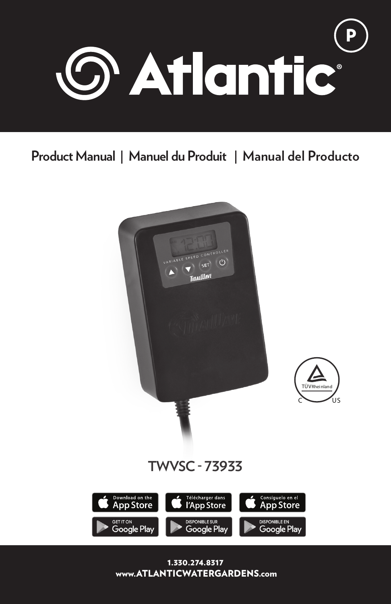

# **Product Manual | Manuel du Produit | Manual del Producto**

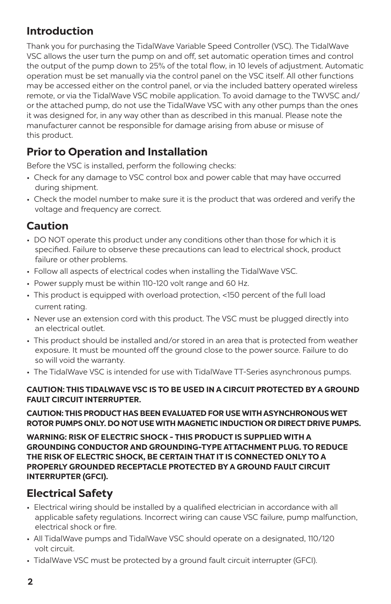# **Introduction**

Thank you for purchasing the TidalWave Variable Speed Controller (VSC). The TidalWave VSC allows the user turn the pump on and off, set automatic operation times and control the output of the pump down to 25% of the total flow, in 10 levels of adjustment. Automatic operation must be set manually via the control panel on the VSC itself. All other functions may be accessed either on the control panel, or via the included battery operated wireless remote, or via the TidalWave VSC mobile application. To avoid damage to the TWVSC and/ or the attached pump, do not use the TidalWave VSC with any other pumps than the ones it was designed for, in any way other than as described in this manual. Please note the manufacturer cannot be responsible for damage arising from abuse or misuse of this product.

# **Prior to Operation and Installation**

Before the VSC is installed, perform the following checks:

- Check for any damage to VSC control box and power cable that may have occurred during shipment.
- Check the model number to make sure it is the product that was ordered and verify the voltage and frequency are correct.

# **Caution**

- DO NOT operate this product under any conditions other than those for which it is specified. Failure to observe these precautions can lead to electrical shock, product failure or other problems.
- Follow all aspects of electrical codes when installing the TidalWave VSC.
- Power supply must be within 110-120 volt range and 60 Hz.
- This product is equipped with overload protection, <150 percent of the full load current rating.
- Never use an extension cord with this product. The VSC must be plugged directly into an electrical outlet.
- This product should be installed and/or stored in an area that is protected from weather exposure. It must be mounted off the ground close to the power source. Failure to do so will void the warranty.
- The TidalWave VSC is intended for use with TidalWave TT-Series asynchronous pumps.

#### **CAUTION: THIS TIDALWAVE VSC IS TO BE USED IN A CIRCUIT PROTECTED BY A GROUND FAULT CIRCUIT INTERRUPTER.**

#### **CAUTION: THIS PRODUCT HAS BEEN EVALUATED FOR USE WITH ASYNCHRONOUS WET ROTOR PUMPS ONLY. DO NOT USE WITH MAGNETIC INDUCTION OR DIRECT DRIVE PUMPS.**

**WARNING: RISK OF ELECTRIC SHOCK - THIS PRODUCT IS SUPPLIED WITH A GROUNDING CONDUCTOR AND GROUNDING-TYPE ATTACHMENT PLUG. TO REDUCE THE RISK OF ELECTRIC SHOCK, BE CERTAIN THAT IT IS CONNECTED ONLY TO A PROPERLY GROUNDED RECEPTACLE PROTECTED BY A GROUND FAULT CIRCUIT INTERRUPTER (GFCI).**

# **Electrical Safety**

- Electrical wiring should be installed by a qualified electrician in accordance with all applicable safety regulations. Incorrect wiring can cause VSC failure, pump malfunction, electrical shock or fire.
- All TidalWave pumps and TidalWave VSC should operate on a designated, 110/120 volt circuit.
- TidalWave VSC must be protected by a ground fault circuit interrupter (GFCI).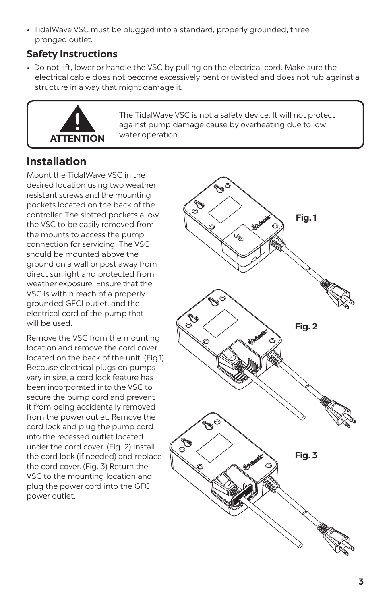• TidalWave VSC must be plugged into a standard, properly grounded, three pronged outlet.

## **Safety Instructions**

• Do not lift, lower or handle the VSC by pulling on the electrical cord. Make sure the electrical cable does not become excessively bent or twisted and does not rub against a structure in a way that might damage it.



The TidalWave VSC is not a safety device. It will not protect against pump damage cause by overheating due to low water operation.

# **Installation**

Mount the TidalWave VSC in the desired location using two weather resistant screws and the mounting pockets located on the back of the controller. The slotted pockets allow the VSC to be easily removed from the mounts to access the pump connection for servicing. The VSC should be mounted above the ground on a wall or post away from direct sunlight and protected from weather exposure. Ensure that the VSC is within reach of a properly grounded GFCI outlet, and the electrical cord of the pump that will be used.

Remove the VSC from the mounting location and remove the cord cover located on the back of the unit. (Fig.1) Because electrical plugs on pumps vary in size, a cord lock feature has been incorporated into the VSC to secure the pump cord and prevent it from being accidentally removed from the power outlet. Remove the cord lock and plug the pump cord into the recessed outlet located under the cord cover. (Fig. 2) Install the cord lock (if needed) and replace the cord cover. (Fig. 3) Return the VSC to the mounting location and plug the power cord into the GFCI power outlet.

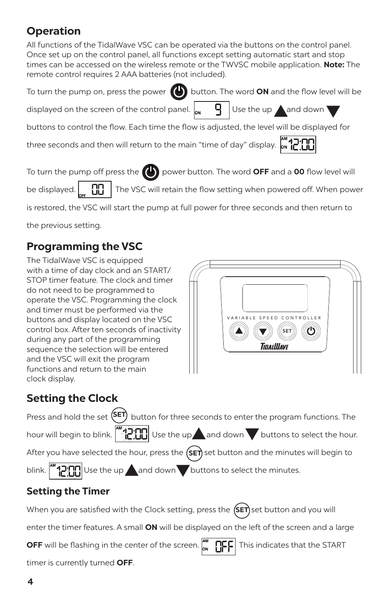# **Operation**

All functions of the TidalWave VSC can be operated via the buttons on the control panel. Once set up on the control panel, all functions except setting automatic start and stop times can be accessed on the wireless remote or the TWVSC mobile application. **Note:** The remote control requires 2 AAA batteries (not included).

| To turn the pump on, press the power $\bigoplus$ button. The word ON and the flow level will be                              |  |
|------------------------------------------------------------------------------------------------------------------------------|--|
| displayed on the screen of the control panel. $\int_{\mathsf{ON}}$ $\left  \frac{1}{9} \right $ Use the up <b>A</b> and down |  |
| buttons to control the flow. Each time the flow is adjusted, the level will be displayed for                                 |  |

three seconds and then will return to the main "time of day" display.  $\int_{0}^{\infty}$ 



To turn the pump off press the **power button.** The word **OFF** and a **00** flow level will

be displayed.  $\begin{bmatrix} \cdot & \cdot \\ \cdot & \cdot \\ \cdot & \cdot \end{bmatrix}$  The VSC will retain the flow setting when powered off. When power

is restored, the VSC will start the pump at full power for three seconds and then return to

the previous setting.

# **Programming the VSC**

The TidalWave VSC is equipped with a time of day clock and an START/ STOP timer feature. The clock and timer do not need to be programmed to operate the VSC. Programming the clock and timer must be performed via the buttons and display located on the VSC control box. After ten seconds of inactivity during any part of the programming sequence the selection will be entered and the VSC will exit the program functions and return to the main clock display.



# **Setting the Clock**

Press and hold the set (<sup>SET</sup>) button for three seconds to enter the program functions. The hour will begin to blink.  $\left|\frac{1}{2}|\mathbf{u}|\right|$  Use the up and down buttons to select the hour. After you have selected the hour, press the **(SET)** set button and the minutes will begin to blink.  $\left\| \left[ \begin{array}{c} 0 \ -1 \end{array} \right]\right\|$  Use the up and down buttons to select the minutes.

# **Setting the Timer**

When you are satisfied with the Clock setting, press the **(SET)** set button and you will

enter the timer features. A small **ON** will be displayed on the left of the screen and a large

OFF will be flashing in the center of the screen.  $\int_{\alpha}^{\infty} \prod_{i=1}^{\infty} \Gamma_i F$  This indicates that the START

timer is currently turned **OFF**.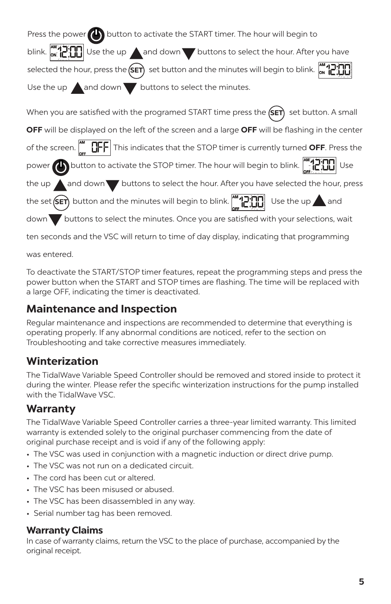Press the power  $\left(\cdot\right)$  button to activate the START timer. The hour will begin to blink.  $\left[\begin{array}{c} \mathbf{w}_1 \\ \mathbf{w}_2 \end{array}\right]$  Use the up and down buttons to select the hour. After you have selected the hour, press the (SET) set button and the minutes will begin to blink. Use the up  $\triangle$  and down buttons to select the minutes.

When you are satisfied with the programed START time press the **(SET)** set button. A small **OFF** will be displayed on the left of the screen and a large **OFF** will be flashing in the center of the screen.  $\begin{bmatrix} m & h \end{bmatrix}$  This indicates that the STOP timer is currently turned **OFF**. Press the power **button to activate the STOP timer. The hour will begin to blink.**  $\begin{bmatrix} 1 & 1 \\ 1 & 1 \end{bmatrix}$  Use the up  $\triangle$  and down  $\blacktriangledown$  buttons to select the hour. After you have selected the hour, press the set (**SET**) button and the minutes will begin to blink.  $\begin{bmatrix} 1 & 1 \\ 1 & 1 \end{bmatrix}$  Use the up and

down buttons to select the minutes. Once you are satisfied with your selections, wait

ten seconds and the VSC will return to time of day display, indicating that programming

was entered.

To deactivate the START/STOP timer features, repeat the programming steps and press the power button when the START and STOP times are flashing. The time will be replaced with a large OFF, indicating the timer is deactivated.

## **Maintenance and Inspection**

Regular maintenance and inspections are recommended to determine that everything is operating properly. If any abnormal conditions are noticed, refer to the section on Troubleshooting and take corrective measures immediately.

# **Winterization**

The TidalWave Variable Speed Controller should be removed and stored inside to protect it during the winter. Please refer the specific winterization instructions for the pump installed with the TidalWave VSC.

## **Warranty**

The TidalWave Variable Speed Controller carries a three-year limited warranty. This limited warranty is extended solely to the original purchaser commencing from the date of original purchase receipt and is void if any of the following apply:

- The VSC was used in conjunction with a magnetic induction or direct drive pump.
- The VSC was not run on a dedicated circuit.
- The cord has been cut or altered.
- The VSC has been misused or abused.
- The VSC has been disassembled in any way.
- Serial number tag has been removed.

#### **Warranty Claims**

In case of warranty claims, return the VSC to the place of purchase, accompanied by the original receipt.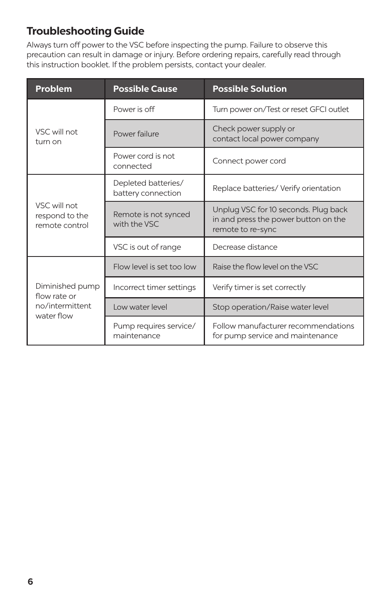# **Troubleshooting Guide**

Always turn off power to the VSC before inspecting the pump. Failure to observe this precaution can result in damage or injury. Before ordering repairs, carefully read through this instruction booklet. If the problem persists, contact your dealer.

| <b>Problem</b>                                                   | <b>Possible Cause</b>                     | <b>Possible Solution</b>                                                                          |  |
|------------------------------------------------------------------|-------------------------------------------|---------------------------------------------------------------------------------------------------|--|
| VSC will not<br>turn on                                          | Power is off                              | Turn power on/Test or reset GFCI outlet                                                           |  |
|                                                                  | Power failure                             | Check power supply or<br>contact local power company                                              |  |
|                                                                  | Power cord is not<br>connected            | Connect power cord                                                                                |  |
| VSC will not<br>respond to the<br>remote control                 | Depleted batteries/<br>battery connection | Replace batteries/ Verify orientation                                                             |  |
|                                                                  | Remote is not synced<br>with the VSC      | Unplug VSC for 10 seconds. Plug back<br>in and press the power button on the<br>remote to re-sync |  |
|                                                                  | VSC is out of range                       | Decrease distance                                                                                 |  |
| Diminished pump<br>flow rate or<br>no/intermittent<br>water flow | Flow level is set too low                 | Raise the flow level on the VSC                                                                   |  |
|                                                                  | Incorrect timer settings                  | Verify timer is set correctly                                                                     |  |
|                                                                  | Low water level                           | Stop operation/Raise water level                                                                  |  |
|                                                                  | Pump requires service/<br>maintenance     | Follow manufacturer recommendations<br>for pump service and maintenance                           |  |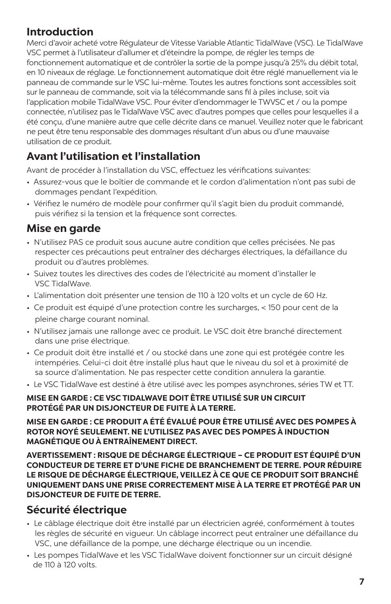## **Introduction**

Merci d'avoir acheté votre Régulateur de Vitesse Variable Atlantic TidalWave (VSC). Le TidalWave VSC permet à l'utilisateur d'allumer et d'éteindre la pompe, de régler les temps de fonctionnement automatique et de contrôler la sortie de la pompe jusqu'à 25% du débit total, en 10 niveaux de réglage. Le fonctionnement automatique doit être réglé manuellement via le panneau de commande sur le VSC lui-même. Toutes les autres fonctions sont accessibles soit sur le panneau de commande, soit via la télécommande sans fil à piles incluse, soit via l'application mobile TidalWave VSC. Pour éviter d'endommager le TWVSC et / ou la pompe connectée, n'utilisez pas le TidalWave VSC avec d'autres pompes que celles pour lesquelles il a été conçu, d'une manière autre que celle décrite dans ce manuel. Veuillez noter que le fabricant ne peut être tenu responsable des dommages résultant d'un abus ou d'une mauvaise utilisation de ce produit.

# **Avant l'utilisation et l'installation**

Avant de procéder à l'installation du VSC, effectuez les vérifications suivantes:

- Assurez-vous que le boîtier de commande et le cordon d'alimentation n'ont pas subi de dommages pendant l'expédition.
- Vérifiez le numéro de modèle pour confirmer qu'il s'agit bien du produit commandé, puis vérifiez si la tension et la fréquence sont correctes.

# **Mise en garde**

- N'utilisez PAS ce produit sous aucune autre condition que celles précisées. Ne pas respecter ces précautions peut entraîner des décharges électriques, la défaillance du produit ou d'autres problèmes.
- Suivez toutes les directives des codes de l'électricité au moment d'installer le VSC TidalWave.
- L'alimentation doit présenter une tension de 110 à 120 volts et un cycle de 60 Hz.
- Ce produit est équipé d'une protection contre les surcharges, < 150 pour cent de la pleine charge courant nominal.
- N'utilisez jamais une rallonge avec ce produit. Le VSC doit être branché directement dans une prise électrique.
- Ce produit doit être installé et / ou stocké dans une zone qui est protégée contre les intempéries. Celui-ci doit être installé plus haut que le niveau du sol et à proximité de sa source d'alimentation. Ne pas respecter cette condition annulera la garantie.
- Le VSC TidalWave est destiné à être utilisé avec les pompes asynchrones, séries TW et TT.

#### **MISE EN GARDE : CE VSC TIDALWAVE DOIT ÊTRE UTILISÉ SUR UN CIRCUIT PROTÉGÉ PAR UN DISJONCTEUR DE FUITE À LA TERRE.**

**MISE EN GARDE : CE PRODUIT A ÉTÉ ÉVALUÉ POUR ÊTRE UTILISÉ AVEC DES POMPES À ROTOR NOYÉ SEULEMENT. NE L'UTILISEZ PAS AVEC DES POMPES À INDUCTION MAGNÉTIQUE OU À ENTRAÎNEMENT DIRECT.**

**AVERTISSEMENT : RISQUE DE DÉCHARGE ÉLECTRIQUE – CE PRODUIT EST ÉQUIPÉ D'UN CONDUCTEUR DE TERRE ET D'UNE FICHE DE BRANCHEMENT DE TERRE. POUR RÉDUIRE LE RISQUE DE DÉCHARGE ÉLECTRIQUE, VEILLEZ À CE QUE CE PRODUIT SOIT BRANCHÉ UNIQUEMENT DANS UNE PRISE CORRECTEMENT MISE À LA TERRE ET PROTÉGÉ PAR UN DISJONCTEUR DE FUITE DE TERRE.**

## **Sécurité électrique**

- Le câblage électrique doit être installé par un électricien agréé, conformément à toutes les règles de sécurité en vigueur. Un câblage incorrect peut entraîner une défaillance du VSC, une défaillance de la pompe, une décharge électrique ou un incendie.
- Les pompes TidalWave et les VSC TidalWave doivent fonctionner sur un circuit désigné de 110 à 120 volts.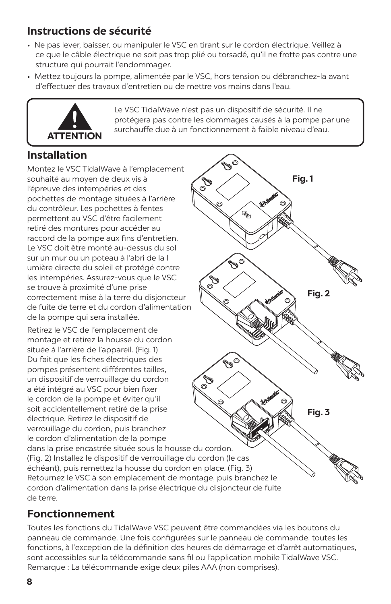# **Instructions de sécurité**

- Ne pas lever, baisser, ou manipuler le VSC en tirant sur le cordon électrique. Veillez à ce que le câble électrique ne soit pas trop plié ou torsadé, qu'il ne frotte pas contre une structure qui pourrait l'endommager.
- Mettez toujours la pompe, alimentée par le VSC, hors tension ou débranchez-la avant d'effectuer des travaux d'entretien ou de mettre vos mains dans l'eau.



Le VSC TidalWave n'est pas un dispositif de sécurité. Il ne protégera pas contre les dommages causés à la pompe par une surchauffe due à un fonctionnement à faible niveau d'eau.

# **Installation**

Montez le VSC TidalWave à l'emplacement souhaité au moyen de deux vis à l'épreuve des intempéries et des pochettes de montage situées à l'arrière du contrôleur. Les pochettes à fentes permettent au VSC d'être facilement retiré des montures pour accéder au raccord de la pompe aux fins d'entretien. Le VSC doit être monté au-dessus du sol sur un mur ou un poteau à l'abri de la l umière directe du soleil et protégé contre les intempéries. Assurez-vous que le VSC se trouve à proximité d'une prise correctement mise à la terre du disjoncteur de fuite de terre et du cordon d'alimentation de la pompe qui sera installée.

Retirez le VSC de l'emplacement de montage et retirez la housse du cordon située à l'arrière de l'appareil. (Fig. 1) Du fait que les fiches électriques des pompes présentent différentes tailles, un dispositif de verrouillage du cordon a été intégré au VSC pour bien fixer le cordon de la pompe et éviter qu'il soit accidentellement retiré de la prise électrique. Retirez le dispositif de verrouillage du cordon, puis branchez le cordon d'alimentation de la pompe

**Fig. 1**Vagn  $\mathscr{C}$ er<br>19 **Fig. 2 Fig. 3** dans la prise encastrée située sous la housse du cordon. (Fig. 2) Installez le dispositif de verrouillage du cordon (le cas échéant), puis remettez la housse du cordon en place. (Fig. 3) Retournez le VSC à son emplacement de montage, puis branchez le cordon d'alimentation dans la prise électrique du disjoncteur de fuite

## **Fonctionnement**

Toutes les fonctions du TidalWave VSC peuvent être commandées via les boutons du panneau de commande. Une fois configurées sur le panneau de commande, toutes les fonctions, à l'exception de la définition des heures de démarrage et d'arrêt automatiques, sont accessibles sur la télécommande sans fil ou l'application mobile TidalWave VSC. Remarque : La télécommande exige deux piles AAA (non comprises).

de terre.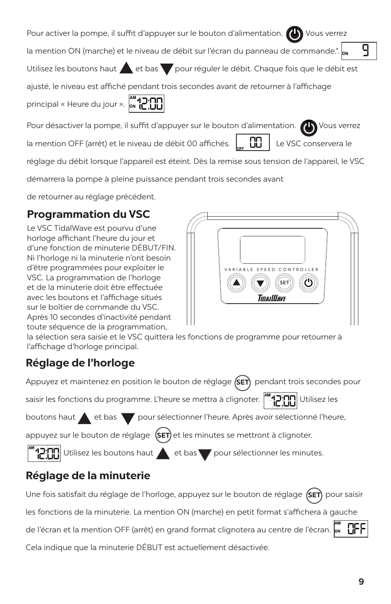**9**

| Pour activer la pompe, il suffit d'appuyer sur le bouton d'alimentation. (1) Vous verrez |  |  |
|------------------------------------------------------------------------------------------|--|--|
|------------------------------------------------------------------------------------------|--|--|

٩ la mention ON (marche) et le niveau de débit sur l'écran du panneau de commande.".

Utilisez les boutons haut et bas pour réguler le débit. Chaque fois que le débit est

ajusté, le niveau est affiché pendant trois secondes avant de retourner à l'affichage

principal « Heure du jour ». M. 12. 11

Pour désactiver la pompe, il suffit d'appuyer sur le bouton d'alimentation.  $\bigoplus$  Vous verrez

la mention OFF (arrêt) et le niveau de débit 00 affichés.  $\begin{bmatrix} 0 & 1 \end{bmatrix}$  Le VSC conservera le

réglage du débit lorsque l'appareil est éteint. Dès la remise sous tension de l'appareil, le VSC

démarrera la pompe à pleine puissance pendant trois secondes avant

de retourner au réglage précédent.

# **Programmation du VSC**

Le VSC TidalWave est pourvu d'une horloge affichant l'heure du jour et d'une fonction de minuterie DÉBUT/FIN. Ni l'horloge ni la minuterie n'ont besoin d'être programmées pour exploiter le VSC. La programmation de l'horloge et de la minuterie doit être effectuée avec les boutons et l'affichage situés sur le boîtier de commande du VSC. Après 10 secondes d'inactivité pendant toute séquence de la programmation,

la sélection sera saisie et le VSC quittera les fonctions de programme pour retourner à l'affichage d'horloge principal.

# **Réglage de l'horloge**

Appuyez et maintenez en position le bouton de réglage **(SET)** pendant trois secondes pour

saisir les fonctions du programme. L'heure se mettra à clignoter. [''''-'][]]] Utilisez les

boutons haut **et bas** pour sélectionner l'heure. Après avoir sélectionné l'heure,

appuyez sur le bouton de réglage (SET) et les minutes se mettront à clignoter.

 $\sum_{i=1}^{n}$ Utilisez les boutons haut  $\sum_{i=1}^{n}$  et bas pour sélectionner les minutes.

# **Réglage de la minuterie**

Une fois satisfait du réglage de l'horloge, appuyez sur le bouton de réglage **(SET)** pour saisir les fonctions de la minuterie. La mention ON (marche) en petit format s'affichera à gauche de l'écran et la mention OFF (arrêt) en grand format clignotera au centre de l'écran. Cela indique que la minuterie DÉBUT est actuellement désactivée.

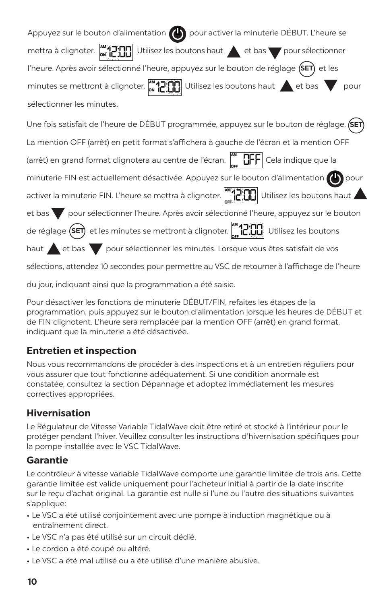| Appuyez sur le bouton d'alimentation (b) pour activer la minuterie DÉBUT. L'heure se                                                            |  |  |  |  |
|-------------------------------------------------------------------------------------------------------------------------------------------------|--|--|--|--|
| MATH Utilisez les boutons haut et bas pour sélectionner<br>mettra à clignoter.                                                                  |  |  |  |  |
| l'heure. Après avoir sélectionné l'heure, appuyez sur le bouton de réglage (SET) et les                                                         |  |  |  |  |
| minutes se mettront à clignoter. $\begin{bmatrix} 1 & 0 \\ 0 & 1 \end{bmatrix}$ Utilisez les boutons haut $\blacktriangle$ et bas $\nabla$ pour |  |  |  |  |
| sélectionner les minutes.                                                                                                                       |  |  |  |  |
| Une fois satisfait de l'heure de DÉBUT programmée, appuyez sur le bouton de réglage. (SET)                                                      |  |  |  |  |
| La mention OFF (arrêt) en petit format s'affichera à gauche de l'écran et la mention OFF                                                        |  |  |  |  |
| (arrêt) en grand format clignotera au centre de l'écran. $\left\  \ \_\_\_\right\ $ Cela indique que la                                         |  |  |  |  |
| minuterie FIN est actuellement désactivée. Appuyez sur le bouton d'alimentation (1) pour                                                        |  |  |  |  |
| activer la minuterie FIN. L'heure se mettra à clignoter. [[10][10] Utilisez les boutons haut                                                    |  |  |  |  |
| et bas pour sélectionner l'heure. Après avoir sélectionné l'heure, appuyez sur le bouton                                                        |  |  |  |  |
| de réglage (SET) et les minutes se mettront à clignoter. [41][1][1] Utilisez les boutons                                                        |  |  |  |  |
| haut et bas pour sélectionner les minutes. Lorsque vous êtes satisfait de vos                                                                   |  |  |  |  |
| sélections, attendez 10 secondes pour permettre au VSC de retourner à l'affichage de l'heure                                                    |  |  |  |  |

du jour, indiquant ainsi que la programmation a été saisie.

Pour désactiver les fonctions de minuterie DÉBUT/FIN, refaites les étapes de la programmation, puis appuyez sur le bouton d'alimentation lorsque les heures de DÉBUT et de FIN clignotent. L'heure sera remplacée par la mention OFF (arrêt) en grand format, indiquant que la minuterie a été désactivée.

### **Entretien et inspection**

Nous vous recommandons de procéder à des inspections et à un entretien réguliers pour vous assurer que tout fonctionne adéquatement. Si une condition anormale est constatée, consultez la section Dépannage et adoptez immédiatement les mesures correctives appropriées.

### **Hivernisation**

Le Régulateur de Vitesse Variable TidalWave doit être retiré et stocké à l'intérieur pour le protéger pendant l'hiver. Veuillez consulter les instructions d'hivernisation spécifiques pour la pompe installée avec le VSC TidalWave.

### **Garantie**

Le contrôleur à vitesse variable TidalWave comporte une garantie limitée de trois ans. Cette garantie limitée est valide uniquement pour l'acheteur initial à partir de la date inscrite sur le reçu d'achat original. La garantie est nulle si l'une ou l'autre des situations suivantes s'applique:

- Le VSC a été utilisé conjointement avec une pompe à induction magnétique ou à entraînement direct.
- Le VSC n'a pas été utilisé sur un circuit dédié.
- Le cordon a été coupé ou altéré.
- Le VSC a été mal utilisé ou a été utilisé d'une manière abusive.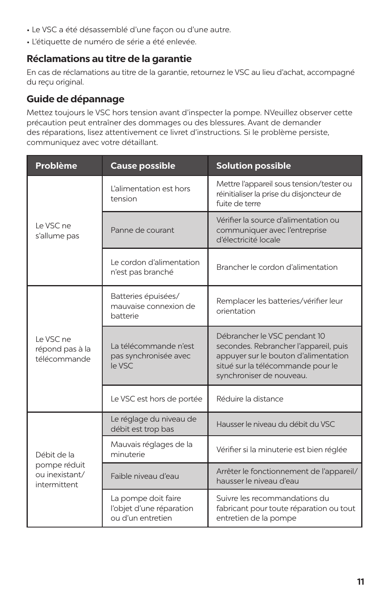- Le VSC a été désassemblé d'une façon ou d'une autre.
- L'étiquette de numéro de série a été enlevée.

## **Réclamations au titre de la garantie**

En cas de réclamations au titre de la garantie, retournez le VSC au lieu d'achat, accompagné du reçu original.

## **Guide de dépannage**

Mettez toujours le VSC hors tension avant d'inspecter la pompe. NVeuillez observer cette précaution peut entraîner des dommages ou des blessures. Avant de demander des réparations, lisez attentivement ce livret d'instructions. Si le problème persiste, communiquez avec votre détaillant.

| <b>Problème</b>                                | <b>Cause possible</b>                                                | <b>Solution possible</b>                                                                                                                                                       |
|------------------------------------------------|----------------------------------------------------------------------|--------------------------------------------------------------------------------------------------------------------------------------------------------------------------------|
| Le VSC ne<br>s'allume pas                      | L'alimentation est hors<br>tension                                   | Mettre l'appareil sous tension/tester ou<br>réinitialiser la prise du disjoncteur de<br>fuite de terre                                                                         |
|                                                | Panne de courant                                                     | Vérifier la source d'alimentation ou<br>communiquer avec l'entreprise<br>d'électricité locale                                                                                  |
|                                                | Le cordon d'alimentation<br>n'est pas branché                        | Brancher le cordon d'alimentation                                                                                                                                              |
| Le VSC ne<br>répond pas à la<br>télécommande   | Batteries épuisées/<br>mauvaise connexion de<br>batterie             | Remplacer les batteries/vérifier leur<br>orientation                                                                                                                           |
|                                                | La télécommande n'est<br>pas synchronisée avec<br>le VSC             | Débrancher le VSC pendant 10<br>secondes. Rebrancher l'appareil, puis<br>appuyer sur le bouton d'alimentation<br>situé sur la télécommande pour le<br>synchroniser de nouveau. |
|                                                | Le VSC est hors de portée                                            | Réduire la distance                                                                                                                                                            |
|                                                | Le réglage du niveau de<br>débit est trop bas                        | Hausser le niveau du débit du VSC                                                                                                                                              |
| Débit de la                                    | Mauvais réglages de la<br>minuterie                                  | Vérifier si la minuterie est bien réglée                                                                                                                                       |
| pompe réduit<br>ou inexistant/<br>intermittent | Faible niveau d'eau                                                  | Arrêter le fonctionnement de l'appareil/<br>hausser le niveau d'eau                                                                                                            |
|                                                | La pompe doit faire<br>l'objet d'une réparation<br>ou d'un entretien | Suivre les recommandations du<br>fabricant pour toute réparation ou tout<br>entretien de la pompe                                                                              |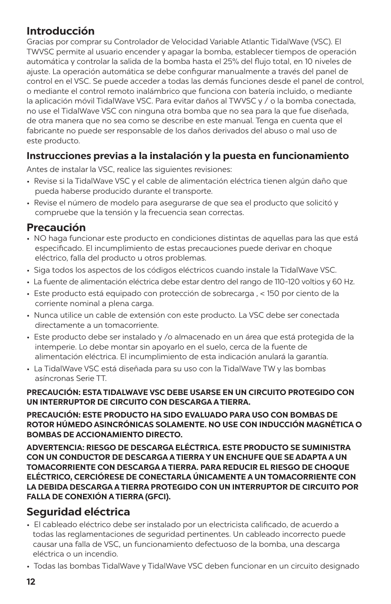## **Introducción**

Gracias por comprar su Controlador de Velocidad Variable Atlantic TidalWave (VSC). El TWVSC permite al usuario encender y apagar la bomba, establecer tiempos de operación automática y controlar la salida de la bomba hasta el 25% del flujo total, en 10 niveles de ajuste. La operación automática se debe configurar manualmente a través del panel de control en el VSC. Se puede acceder a todas las demás funciones desde el panel de control, o mediante el control remoto inalámbrico que funciona con batería incluido, o mediante la aplicación móvil TidalWave VSC. Para evitar daños al TWVSC y / o la bomba conectada, no use el TidalWave VSC con ninguna otra bomba que no sea para la que fue diseñada, de otra manera que no sea como se describe en este manual. Tenga en cuenta que el fabricante no puede ser responsable de los daños derivados del abuso o mal uso de este producto.

## **Instrucciones previas a la instalación y la puesta en funcionamiento**

Antes de instalar la VSC, realice las siguientes revisiones:

- Revise si la TidalWave VSC y el cable de alimentación eléctrica tienen algún daño que pueda haberse producido durante el transporte.
- Revise el número de modelo para asegurarse de que sea el producto que solicitó y compruebe que la tensión y la frecuencia sean correctas.

## **Precaución**

- NO haga funcionar este producto en condiciones distintas de aquellas para las que está especificado. El incumplimiento de estas precauciones puede derivar en choque eléctrico, falla del producto u otros problemas.
- Siga todos los aspectos de los códigos eléctricos cuando instale la TidalWave VSC.
- La fuente de alimentación eléctrica debe estar dentro del rango de 110-120 voltios y 60 Hz.
- Este producto está equipado con protección de sobrecarga , < 150 por ciento de la corriente nominal a plena carga.
- Nunca utilice un cable de extensión con este producto. La VSC debe ser conectada directamente a un tomacorriente.
- Este producto debe ser instalado y /o almacenado en un área que está protegida de la intemperie. Lo debe montar sin apoyarlo en el suelo, cerca de la fuente de alimentación eléctrica. El incumplimiento de esta indicación anulará la garantía.
- La TidalWave VSC está diseñada para su uso con la TidalWave TW y las bombas asíncronas Serie TT.

#### **PRECAUCIÓN: ESTA TIDALWAVE VSC DEBE USARSE EN UN CIRCUITO PROTEGIDO CON UN INTERRUPTOR DE CIRCUITO CON DESCARGA A TIERRA.**

**PRECAUCIÓN: ESTE PRODUCTO HA SIDO EVALUADO PARA USO CON BOMBAS DE ROTOR HÚMEDO ASINCRÓNICAS SOLAMENTE. NO USE CON INDUCCIÓN MAGNÉTICA O BOMBAS DE ACCIONAMIENTO DIRECTO.**

**ADVERTENCIA: RIESGO DE DESCARGA ELÉCTRICA. ESTE PRODUCTO SE SUMINISTRA CON UN CONDUCTOR DE DESCARGA A TIERRA Y UN ENCHUFE QUE SE ADAPTA A UN TOMACORRIENTE CON DESCARGA A TIERRA. PARA REDUCIR EL RIESGO DE CHOQUE ELÉCTRICO, CERCIÓRESE DE CONECTARLA ÚNICAMENTE A UN TOMACORRIENTE CON LA DEBIDA DESCARGA A TIERRA PROTEGIDO CON UN INTERRUPTOR DE CIRCUITO POR FALLA DE CONEXIÓN A TIERRA (GFCI).**

## **Seguridad eléctrica**

- El cableado eléctrico debe ser instalado por un electricista calificado, de acuerdo a todas las reglamentaciones de seguridad pertinentes. Un cableado incorrecto puede causar una falla de VSC, un funcionamiento defectuoso de la bomba, una descarga eléctrica o un incendio.
- Todas las bombas TidalWave y TidalWave VSC deben funcionar en un circuito designado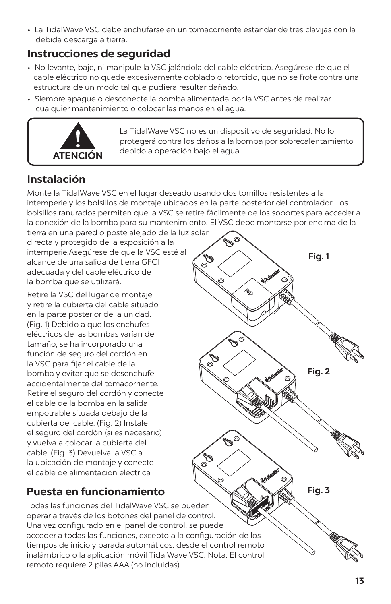• La TidalWave VSC debe enchufarse en un tomacorriente estándar de tres clavijas con la debida descarga a tierra.

# **Instrucciones de seguridad**

- No levante, baje, ni manipule la VSC jalándola del cable eléctrico. Asegúrese de que el cable eléctrico no quede excesivamente doblado o retorcido, que no se frote contra una estructura de un modo tal que pudiera resultar dañado.
- Siempre apague o desconecte la bomba alimentada por la VSC antes de realizar cualquier mantenimiento o colocar las manos en el agua.



La TidalWave VSC no es un dispositivo de seguridad. No lo protegerá contra los daños a la bomba por sobrecalentamiento debido a operación bajo el agua.

Vag

**Fig. 1**

# **Instalación**

Monte la TidalWave VSC en el lugar deseado usando dos tornillos resistentes a la intemperie y los bolsillos de montaje ubicados en la parte posterior del controlador. Los bolsillos ranurados permiten que la VSC se retire fácilmente de los soportes para acceder a la conexión de la bomba para su mantenimiento. El VSC debe montarse por encima de la

tierra en una pared o poste alejado de la luz solar directa y protegido de la exposición a la intemperie.Asegúrese de que la VSC esté al alcance de una salida de tierra GFCI adecuada y del cable eléctrico de la bomba que se utilizará.

Retire la VSC del lugar de montaje y retire la cubierta del cable situado en la parte posterior de la unidad. (Fig. 1) Debido a que los enchufes eléctricos de las bombas varían de tamaño, se ha incorporado una función de seguro del cordón en la VSC para fijar el cable de la bomba y evitar que se desenchufe accidentalmente del tomacorriente. Retire el seguro del cordón y conecte el cable de la bomba en la salida empotrable situada debajo de la cubierta del cable. (Fig. 2) Instale el seguro del cordón (si es necesario) y vuelva a colocar la cubierta del cable. (Fig. 3) Devuelva la VSC a la ubicación de montaje y conecte el cable de alimentación eléctrica

# **Fig. 3 Fig. 2**

# **Puesta en funcionamiento**

Todas las funciones del TidalWave VSC se pueden operar a través de los botones del panel de control. Una vez configurado en el panel de control, se puede acceder a todas las funciones, excepto a la configuración de los tiempos de inicio y parada automáticos, desde el control remoto inalámbrico o la aplicación móvil TidalWave VSC. Nota: El control remoto requiere 2 pilas AAA (no incluidas).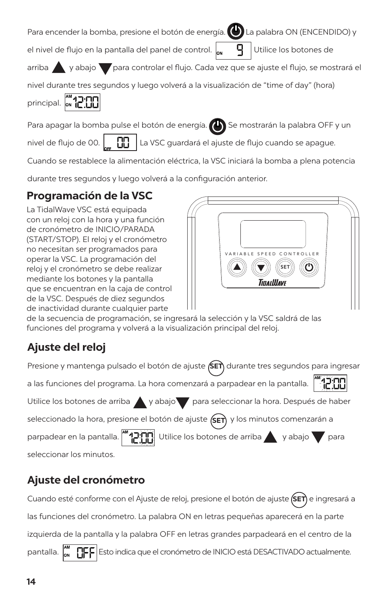Para encender la bomba, presione el botón de energía. (c) La palabra ON (ENCENDIDO) y

el nivel de flujo en la pantalla del panel de control.  $\mathbb{L}_{\mathbf{u}}$   $\mathbb{L}$  Utilice los botones de

arriba y abajo para controlar el flujo. Cada vez que se ajuste el flujo, se mostrará el

nivel durante tres segundos y luego volverá a la visualización de "time of day" (hora)

principal.  $\int_{\mathsf{ON}}^{\mathsf{MN}} \prod_{i=1}^{n}$ 



Para apagar la bomba pulse el botón de energía. (Se mostrarán la palabra OFF y un

nivel de flujo de 00.  $\Box$  La VSC guardará el ajuste de flujo cuando se apague.

Cuando se restablece la alimentación eléctrica, la VSC iniciará la bomba a plena potencia

durante tres segundos y luego volverá a la configuración anterior.

# **Programación de la VSC**

La TidalWave VSC está equipada con un reloj con la hora y una función de cronómetro de INICIO/PARADA (START/STOP). El reloj y el cronómetro no necesitan ser programados para operar la VSC. La programación del reloj y el cronómetro se debe realizar mediante los botones y la pantalla que se encuentran en la caja de control de la VSC. Después de diez segundos de inactividad durante cualquier parte



de la secuencia de programación, se ingresará la selección y la VSC saldrá de las funciones del programa y volverá a la visualización principal del reloj.

# **Ajuste del reloj**

Presione y mantenga pulsado el botón de ajuste **(SET**) durante tres segundos para ingresar

a las funciones del programa. La hora comenzará a parpadear en la pantalla.

Utilice los botones de arriba y abajo para seleccionar la hora. Después de haber

seleccionado la hora, presione el botón de ajuste **(sET)** y los minutos comenzarán a

parpadear en la pantalla.  $\begin{bmatrix} 1 & 1 \\ 1 & 1 \end{bmatrix}$  Utilice los botones de arriba y abajo y para

seleccionar los minutos.

# **Ajuste del cronómetro**

Cuando esté conforme con el Ajuste de reloj, presione el botón de ajuste (SET) e ingresará a las funciones del cronómetro. La palabra ON en letras pequeñas aparecerá en la parte izquierda de la pantalla y la palabra OFF en letras grandes parpadeará en el centro de la pantalla.  $\int_{\infty}^{\infty} \prod_{i=1}^{\infty} |E_i|$ Esto indica que el cronómetro de INICIO está DESACTIVADO actualmente.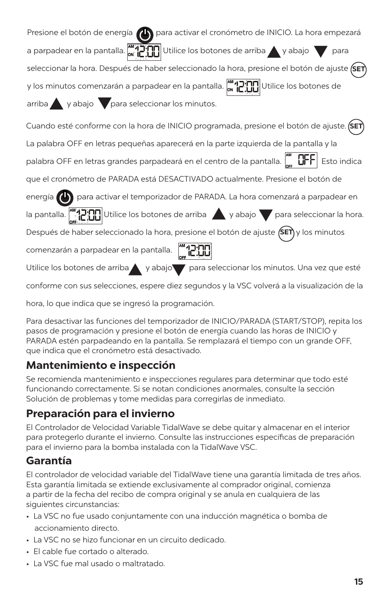| Presione el botón de energía (A) para activar el cronómetro de INICIO. La hora empezará                                                             |
|-----------------------------------------------------------------------------------------------------------------------------------------------------|
| a parpadear en la pantalla. $\left[\begin{array}{c} \sqrt{M} \sqrt{M} \end{array}\right]$ Utilice los botones de arriba $\bigwedge$ y abajo<br>para |
| seleccionar la hora. Después de haber seleccionado la hora, presione el botón de ajuste (SET                                                        |
| y los minutos comenzarán a parpadear en la pantalla. Manuel Utilice los botones de                                                                  |
| arriba y abajo para seleccionar los minutos.                                                                                                        |
| Cuando esté conforme con la hora de INICIO programada, presione el botón de ajuste. (SET                                                            |
| La palabra OFF en letras pequeñas aparecerá en la parte izquierda de la pantalla y la                                                               |
| palabra OFF en letras grandes parpadeará en el centro de la pantalla. $\bigcup_{n=1}^{\infty} \mathbb{GFF}$ Esto indica                             |
| que el cronómetro de PARADA está DESACTIVADO actualmente. Presione el botón de                                                                      |
| energía (e) para activar el temporizador de PARADA. La hora comenzará a parpadear en                                                                |
| la pantalla. $\binom{M}{1}$ $\prod_{i=1}^{N}$ Utilice los botones de arriba $\setminus$ y abajo $\setminus$ para seleccionar la hora.               |
| Después de haber seleccionado la hora, presione el botón de ajuste (SET) y los minutos                                                              |
| comenzarán a parpadear en la pantalla. [m]                                                                                                          |
| Utilice los botones de arriba y abajo para seleccionar los minutos. Una vez que esté                                                                |
| conforme con sus selecciones, espere diez segundos y la VSC volverá a la visualización de la                                                        |

hora, lo que indica que se ingresó la programación.

Para desactivar las funciones del temporizador de INICIO/PARADA (START/STOP), repita los pasos de programación y presione el botón de energía cuando las horas de INICIO y PARADA estén parpadeando en la pantalla. Se remplazará el tiempo con un grande OFF, que indica que el cronómetro está desactivado.

# **Mantenimiento e inspección**

Se recomienda mantenimiento e inspecciones regulares para determinar que todo esté funcionando correctamente. Si se notan condiciones anormales, consulte la sección Solución de problemas y tome medidas para corregirlas de inmediato.

# **Preparación para el invierno**

El Controlador de Velocidad Variable TidalWave se debe quitar y almacenar en el interior para protegerlo durante el invierno. Consulte las instrucciones específicas de preparación para el invierno para la bomba instalada con la TidalWave VSC.

# **Garantía**

El controlador de velocidad variable del TidalWave tiene una garantía limitada de tres años. Esta garantía limitada se extiende exclusivamente al comprador original, comienza a partir de la fecha del recibo de compra original y se anula en cualquiera de las siguientes circunstancias:

- La VSC no fue usado conjuntamente con una inducción magnética o bomba de accionamiento directo.
- La VSC no se hizo funcionar en un circuito dedicado.
- El cable fue cortado o alterado.
- La VSC fue mal usado o maltratado.